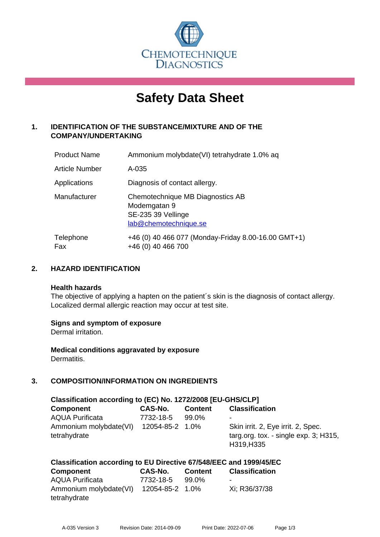

# **Safety Data Sheet**

# **1. IDENTIFICATION OF THE SUBSTANCE/MIXTURE AND OF THE COMPANY/UNDERTAKING**

| <b>Product Name</b>   | Ammonium molybdate(VI) tetrahydrate 1.0% aq                                                     |
|-----------------------|-------------------------------------------------------------------------------------------------|
| <b>Article Number</b> | $A - 035$                                                                                       |
| Applications          | Diagnosis of contact allergy.                                                                   |
| Manufacturer          | Chemotechnique MB Diagnostics AB<br>Modemgatan 9<br>SE-235 39 Vellinge<br>lab@chemotechnique.se |
| Telephone<br>Fax      | +46 (0) 40 466 077 (Monday-Friday 8.00-16.00 GMT+1)<br>+46 (0) 40 466 700                       |

# **2. HAZARD IDENTIFICATION**

#### **Health hazards**

The objective of applying a hapten on the patient's skin is the diagnosis of contact allergy. Localized dermal allergic reaction may occur at test site.

## **Signs and symptom of exposure**

Dermal irritation.

**Medical conditions aggravated by exposure** Dermatitis.

# **3. COMPOSITION/INFORMATION ON INGREDIENTS**

| Classification according to (EC) No. 1272/2008 [EU-GHS/CLP] |                 |                |                                                                                              |  |  |
|-------------------------------------------------------------|-----------------|----------------|----------------------------------------------------------------------------------------------|--|--|
| <b>Component</b>                                            | CAS-No.         | <b>Content</b> | <b>Classification</b>                                                                        |  |  |
| <b>AQUA Purificata</b>                                      | 7732-18-5       | 99.0%          | ۰                                                                                            |  |  |
| Ammonium molybdate(VI)<br>tetrahydrate                      | 12054-85-2 1.0% |                | Skin irrit. 2, Eye irrit. 2, Spec.<br>targ.org. tox. - single $exp. 3$ ; H315,<br>H319, H335 |  |  |

# **Classification according to EU Directive 67/548/EEC and 1999/45/EC**

| Component              | CAS-No.         | <b>Content</b> | <b>Classification</b> |
|------------------------|-----------------|----------------|-----------------------|
| AQUA Purificata        | 7732-18-5       | 99.0%          | -                     |
| Ammonium molybdate(VI) | 12054-85-2 1.0% |                | Xi; R36/37/38         |
| tetrahydrate           |                 |                |                       |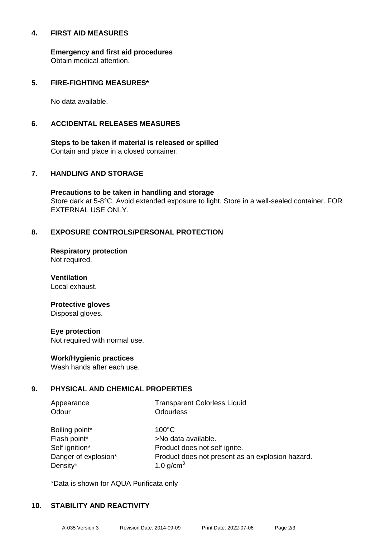#### **4. FIRST AID MEASURES**

**Emergency and first aid procedures** Obtain medical attention.

## **5. FIRE-FIGHTING MEASURES\***

No data available.

# **6. ACCIDENTAL RELEASES MEASURES**

**Steps to be taken if material is released or spilled** Contain and place in a closed container.

# **7. HANDLING AND STORAGE**

**Precautions to be taken in handling and storage** Store dark at 5-8°C. Avoid extended exposure to light. Store in a well-sealed container. FOR EXTERNAL USE ONLY.

# **8. EXPOSURE CONTROLS/PERSONAL PROTECTION**

**Respiratory protection** Not required.

**Ventilation** Local exhaust.

# **Protective gloves**

Disposal gloves.

## **Eye protection**

Not required with normal use.

## **Work/Hygienic practices**

Wash hands after each use.

## **9. PHYSICAL AND CHEMICAL PROPERTIES**

| Appearance<br>Odour  | <b>Transparent Colorless Liquid</b><br><b>Odourless</b> |
|----------------------|---------------------------------------------------------|
| Boiling point*       | $100^{\circ}$ C                                         |
| Flash point*         | >No data available.                                     |
| Self ignition*       | Product does not self ignite.                           |
| Danger of explosion* | Product does not present as an explosion hazard.        |

\*Data is shown for AQUA Purificata only

Density\* 1.0 g/cm<sup>3</sup>

## **10. STABILITY AND REACTIVITY**